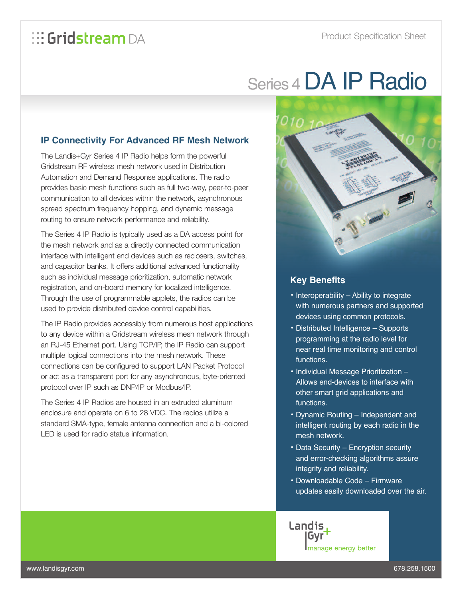## *<b>E*: Gridstream DA

# Series 4 DA IP Radio

### **IP Connectivity For Advanced RF Mesh Network**

The Landis+Gyr Series 4 IP Radio helps form the powerful Gridstream RF wireless mesh network used in Distribution Automation and Demand Response applications. The radio provides basic mesh functions such as full two-way, peer-to-peer communication to all devices within the network, asynchronous spread spectrum frequency hopping, and dynamic message routing to ensure network performance and reliability.

The Series 4 IP Radio is typically used as a DA access point for the mesh network and as a directly connected communication interface with intelligent end devices such as reclosers, switches, and capacitor banks. It offers additional advanced functionality such as individual message prioritization, automatic network registration, and on-board memory for localized intelligence. Through the use of programmable applets, the radios can be used to provide distributed device control capabilities.

The IP Radio provides accessibly from numerous host applications to any device within a Gridstream wireless mesh network through an RJ-45 Ethernet port. Using TCP/IP, the IP Radio can support multiple logical connections into the mesh network. These connections can be configured to support LAN Packet Protocol or act as a transparent port for any asynchronous, byte-oriented protocol over IP such as DNP/IP or Modbus/IP.

The Series 4 IP Radios are housed in an extruded aluminum enclosure and operate on 6 to 28 VDC. The radios utilize a standard SMA-type, female antenna connection and a bi-colored LED is used for radio status information.



#### **Key Benefits**

- Interoperability Ability to integrate with numerous partners and supported devices using common protocols.
- Distributed Intelligence Supports programming at the radio level for near real time monitoring and control functions.
- Individual Message Prioritization Allows end-devices to interface with other smart grid applications and functions.
- Dynamic Routing Independent and intelligent routing by each radio in the mesh network.
- Data Security Encryption security and error-checking algorithms assure integrity and reliability.
- Downloadable Code Firmware updates easily downloaded over the air.